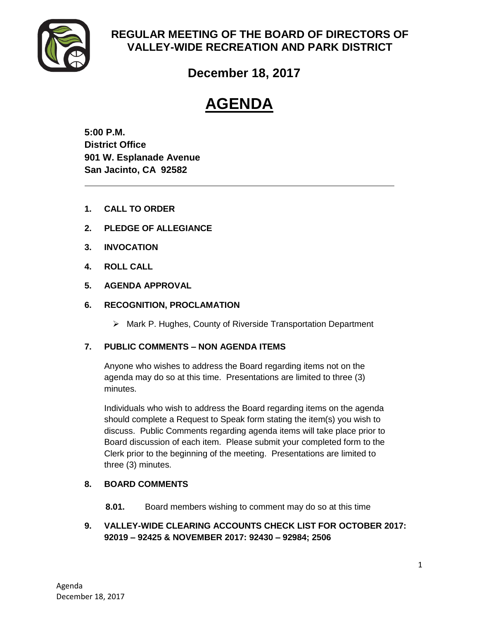

# **REGULAR MEETING OF THE BOARD OF DIRECTORS OF VALLEY-WIDE RECREATION AND PARK DISTRICT**

# **December 18, 2017**

# **AGENDA**

**5:00 P.M. District Office 901 W. Esplanade Avenue San Jacinto, CA 92582**

- **1. CALL TO ORDER**
- **2. PLEDGE OF ALLEGIANCE**
- **3. INVOCATION**
- **4. ROLL CALL**
- **5. AGENDA APPROVAL**
- **6. RECOGNITION, PROCLAMATION**
	- Mark P. Hughes, County of Riverside Transportation Department

# **7. PUBLIC COMMENTS – NON AGENDA ITEMS**

Anyone who wishes to address the Board regarding items not on the agenda may do so at this time. Presentations are limited to three (3) minutes.

Individuals who wish to address the Board regarding items on the agenda should complete a Request to Speak form stating the item(s) you wish to discuss. Public Comments regarding agenda items will take place prior to Board discussion of each item. Please submit your completed form to the Clerk prior to the beginning of the meeting. Presentations are limited to three (3) minutes.

# **8. BOARD COMMENTS**

- **8.01.** Board members wishing to comment may do so at this time
- **9. VALLEY-WIDE CLEARING ACCOUNTS CHECK LIST FOR OCTOBER 2017: 92019 – 92425 & NOVEMBER 2017: 92430 – 92984; 2506**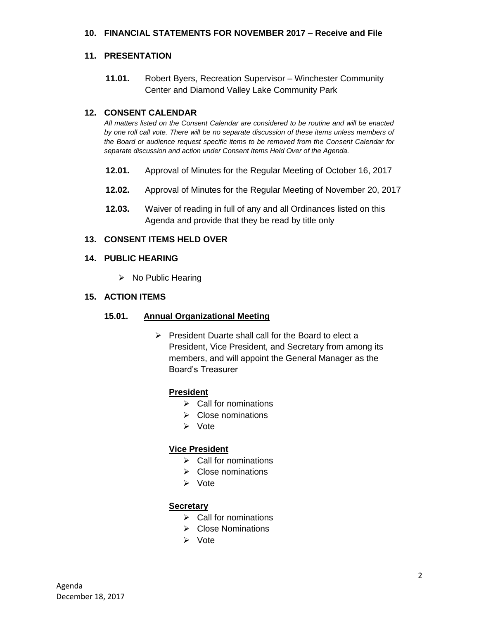#### **10. FINANCIAL STATEMENTS FOR NOVEMBER 2017 – Receive and File**

#### **11. PRESENTATION**

**11.01.** Robert Byers, Recreation Supervisor – Winchester Community Center and Diamond Valley Lake Community Park

#### **12. CONSENT CALENDAR**

*All matters listed on the Consent Calendar are considered to be routine and will be enacted by one roll call vote. There will be no separate discussion of these items unless members of the Board or audience request specific items to be removed from the Consent Calendar for separate discussion and action under Consent Items Held Over of the Agenda.* 

- **12.01.** Approval of Minutes for the Regular Meeting of October 16, 2017
- **12.02.** Approval of Minutes for the Regular Meeting of November 20, 2017
- **12.03.** Waiver of reading in full of any and all Ordinances listed on this Agenda and provide that they be read by title only

#### **13. CONSENT ITEMS HELD OVER**

#### **14. PUBLIC HEARING**

 $\triangleright$  No Public Hearing

#### **15. ACTION ITEMS**

#### **15.01. Annual Organizational Meeting**

 $\triangleright$  President Duarte shall call for the Board to elect a President, Vice President, and Secretary from among its members, and will appoint the General Manager as the Board's Treasurer

#### **President**

- $\triangleright$  Call for nominations
- $\triangleright$  Close nominations
- **≻** Vote

#### **Vice President**

- $\triangleright$  Call for nominations
- $\triangleright$  Close nominations
- Vote

#### **Secretary**

- $\triangleright$  Call for nominations
- $\triangleright$  Close Nominations
- Vote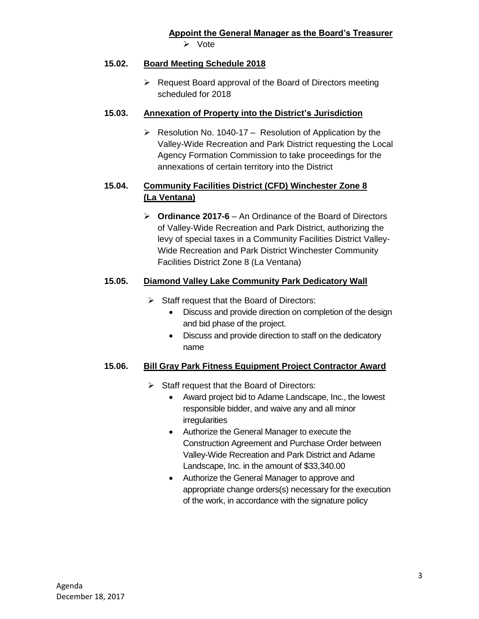## **15.02. Board Meeting Schedule 2018**

 $\triangleright$  Request Board approval of the Board of Directors meeting scheduled for 2018

## **15.03. Annexation of Property into the District's Jurisdiction**

 $\triangleright$  Resolution No. 1040-17 – Resolution of Application by the Valley-Wide Recreation and Park District requesting the Local Agency Formation Commission to take proceedings for the annexations of certain territory into the District

# **15.04. Community Facilities District (CFD) Winchester Zone 8 (La Ventana)**

 **Ordinance 2017-6** – An Ordinance of the Board of Directors of Valley-Wide Recreation and Park District, authorizing the levy of special taxes in a Community Facilities District Valley-Wide Recreation and Park District Winchester Community Facilities District Zone 8 (La Ventana)

# **15.05. Diamond Valley Lake Community Park Dedicatory Wall**

- $\triangleright$  Staff request that the Board of Directors:
	- Discuss and provide direction on completion of the design and bid phase of the project.
	- Discuss and provide direction to staff on the dedicatory name

# **15.06. Bill Gray Park Fitness Equipment Project Contractor Award**

- $\triangleright$  Staff request that the Board of Directors:
	- Award project bid to Adame Landscape, Inc., the lowest responsible bidder, and waive any and all minor irregularities
	- Authorize the General Manager to execute the Construction Agreement and Purchase Order between Valley-Wide Recreation and Park District and Adame Landscape, Inc. in the amount of \$33,340.00
	- Authorize the General Manager to approve and appropriate change orders(s) necessary for the execution of the work, in accordance with the signature policy